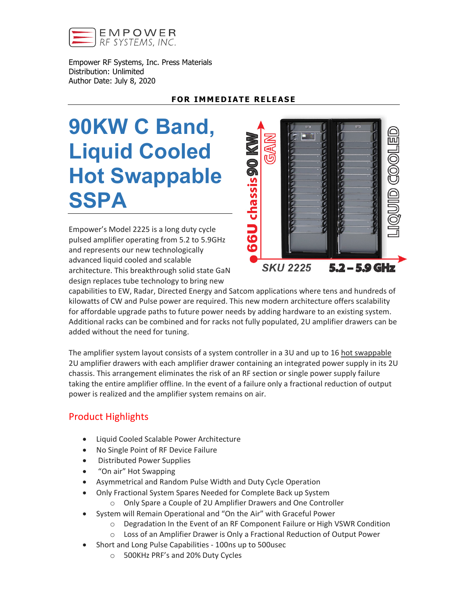

Empower RF Systems, Inc. Press Materials Distribution: Unlimited Author Date: July 8, 2020

## **FOR IMMEDIATE RELEASE**

# **90KW C Band, Liquid Cooled Hot Swappable SSPA**

Empower's Model 2225 is a long duty cycle pulsed amplifier operating from 5.2 to 5.9GHz and represents our new technologically advanced liquid cooled and scalable architecture. This breakthrough solid state GaN design replaces tube technology to bring new



capabilities to EW, Radar, Directed Energy and Satcom applications where tens and hundreds of kilowatts of CW and Pulse power are required. This new modern architecture offers scalability for affordable upgrade paths to future power needs by adding hardware to an existing system. Additional racks can be combined and for racks not fully populated, 2U amplifier drawers can be added without the need for tuning.

The amplifier system layout consists of a system controller in a 3U and up to 16 hot swappable 2U amplifier drawers with each amplifier drawer containing an integrated power supply in its 2U chassis. This arrangement eliminates the risk of an RF section or single power supply failure taking the entire amplifier offline. In the event of a failure only a fractional reduction of output power is realized and the amplifier system remains on air.

# Product Highlights

- Liquid Cooled Scalable Power Architecture
- No Single Point of RF Device Failure
- Distributed Power Supplies
- "On air" Hot Swapping
- Asymmetrical and Random Pulse Width and Duty Cycle Operation
- Only Fractional System Spares Needed for Complete Back up System
	- o Only Spare a Couple of 2U Amplifier Drawers and One Controller
- System will Remain Operational and "On the Air" with Graceful Power
	- $\circ$  Degradation In the Event of an RF Component Failure or High VSWR Condition
	- o Loss of an Amplifier Drawer is Only a Fractional Reduction of Output Power
- Short and Long Pulse Capabilities 100ns up to 500usec
	- o 500KHz PRF's and 20% Duty Cycles